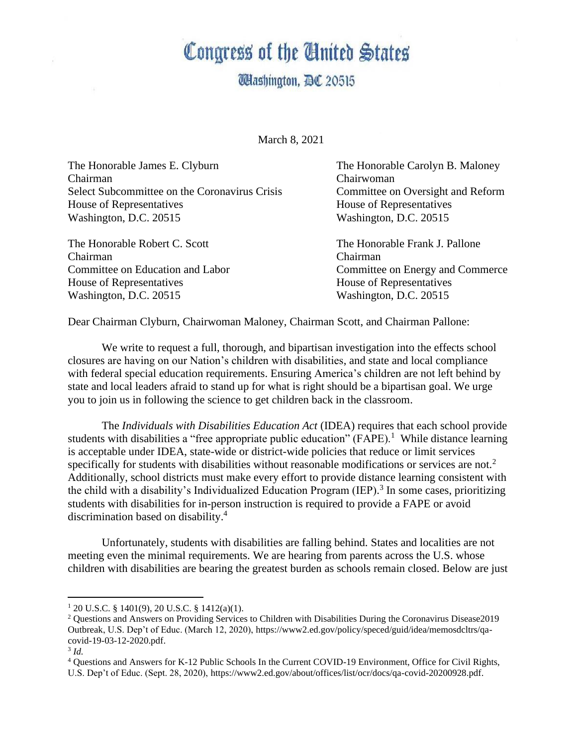## Congress of the Cinited States

**Washington, DC 20515** 

March 8, 2021

The Honorable James E. Clyburn The Honorable Carolyn B. Maloney Chairman Chairwoman Select Subcommittee on the Coronavirus Crisis Committee on Oversight and Reform House of Representatives House of Representatives Washington, D.C. 20515 Washington, D.C. 20515

The Honorable Robert C. Scott The Honorable Frank J. Pallone Chairman Chairman House of Representatives House of Representatives Washington, D.C. 20515 Washington, D.C. 20515

Committee on Education and Labor Committee on Energy and Commerce

Dear Chairman Clyburn, Chairwoman Maloney, Chairman Scott, and Chairman Pallone:

We write to request a full, thorough, and bipartisan investigation into the effects school closures are having on our Nation's children with disabilities, and state and local compliance with federal special education requirements. Ensuring America's children are not left behind by state and local leaders afraid to stand up for what is right should be a bipartisan goal. We urge you to join us in following the science to get children back in the classroom.

The *Individuals with Disabilities Education Act* (IDEA) requires that each school provide students with disabilities a "free appropriate public education"  $(FAPE)$ .<sup>1</sup> While distance learning is acceptable under IDEA, state-wide or district-wide policies that reduce or limit services specifically for students with disabilities without reasonable modifications or services are not.<sup>2</sup> Additionally, school districts must make every effort to provide distance learning consistent with the child with a disability's Individualized Education Program (IEP).<sup>3</sup> In some cases, prioritizing students with disabilities for in-person instruction is required to provide a FAPE or avoid discrimination based on disability.<sup>4</sup>

Unfortunately, students with disabilities are falling behind. States and localities are not meeting even the minimal requirements. We are hearing from parents across the U.S. whose children with disabilities are bearing the greatest burden as schools remain closed. Below are just

 $1\,20\,$  U.S.C. § 1401(9), 20 U.S.C. § 1412(a)(1).

<sup>2</sup> Questions and Answers on Providing Services to Children with Disabilities During the Coronavirus Disease2019 Outbreak, U.S. Dep't of Educ. (March 12, 2020), https://www2.ed.gov/policy/speced/guid/idea/memosdcltrs/qacovid-19-03-12-2020.pdf.

<sup>3</sup> *Id.* 

<sup>4</sup> Questions and Answers for K-12 Public Schools In the Current COVID-19 Environment, Office for Civil Rights, U.S. Dep't of Educ. (Sept. 28, 2020), https://www2.ed.gov/about/offices/list/ocr/docs/qa-covid-20200928.pdf.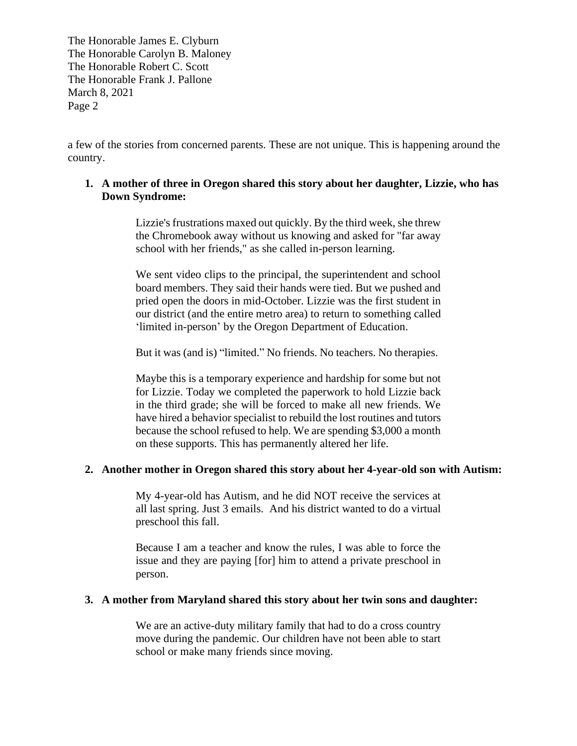a few of the stories from concerned parents. These are not unique. This is happening around the country.

## **1. A mother of three in Oregon shared this story about her daughter, Lizzie, who has Down Syndrome:**

Lizzie's frustrations maxed out quickly. By the third week, she threw the Chromebook away without us knowing and asked for "far away school with her friends," as she called in-person learning.

We sent video clips to the principal, the superintendent and school board members. They said their hands were tied. But we pushed and pried open the doors in mid-October. Lizzie was the first student in our district (and the entire metro area) to return to something called 'limited in-person' by the Oregon Department of Education.

But it was (and is) "limited." No friends. No teachers. No therapies.

Maybe this is a temporary experience and hardship for some but not for Lizzie. Today we completed the paperwork to hold Lizzie back in the third grade; she will be forced to make all new friends. We have hired a behavior specialist to rebuild the lost routines and tutors because the school refused to help. We are spending \$3,000 a month on these supports. This has permanently altered her life.

## **2. Another mother in Oregon shared this story about her 4-year-old son with Autism:**

My 4-year-old has Autism, and he did NOT receive the services at all last spring. Just 3 emails. And his district wanted to do a virtual preschool this fall.

Because I am a teacher and know the rules, I was able to force the issue and they are paying [for] him to attend a private preschool in person.

## **3. A mother from Maryland shared this story about her twin sons and daughter:**

We are an active-duty military family that had to do a cross country move during the pandemic. Our children have not been able to start school or make many friends since moving.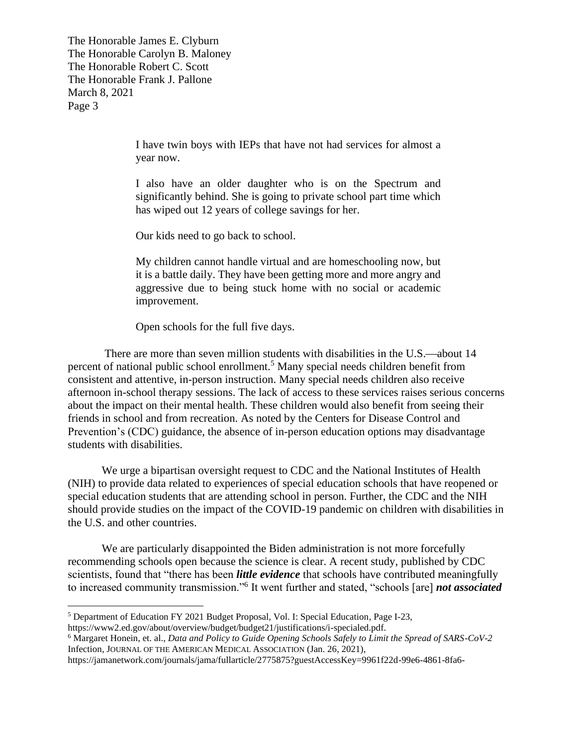> I have twin boys with IEPs that have not had services for almost a year now.

> I also have an older daughter who is on the Spectrum and significantly behind. She is going to private school part time which has wiped out 12 years of college savings for her.

Our kids need to go back to school.

My children cannot handle virtual and are homeschooling now, but it is a battle daily. They have been getting more and more angry and aggressive due to being stuck home with no social or academic improvement.

Open schools for the full five days.

There are more than seven million students with disabilities in the U.S.—about 14 percent of national public school enrollment.<sup>5</sup> Many special needs children benefit from consistent and attentive, in-person instruction. Many special needs children also receive afternoon in-school therapy sessions. The lack of access to these services raises serious concerns about the impact on their mental health. These children would also benefit from seeing their friends in school and from recreation. As noted by the Centers for Disease Control and Prevention's (CDC) guidance, the absence of in-person education options may disadvantage students with disabilities.

We urge a bipartisan oversight request to CDC and the National Institutes of Health (NIH) to provide data related to experiences of special education schools that have reopened or special education students that are attending school in person. Further, the CDC and the NIH should provide studies on the impact of the COVID-19 pandemic on children with disabilities in the U.S. and other countries.

We are particularly disappointed the Biden administration is not more forcefully recommending schools open because the science is clear. A recent study, published by CDC scientists, found that "there has been *little evidence* that schools have contributed meaningfully to increased community transmission."<sup>6</sup> It went further and stated, "schools [are] *not associated*

<sup>5</sup> Department of Education FY 2021 Budget Proposal, Vol. I: Special Education, Page I-23, https://www2.ed.gov/about/overview/budget/budget21/justifications/i-specialed.pdf.

<sup>6</sup> Margaret Honein, et. al., *Data and Policy to Guide Opening Schools Safely to Limit the Spread of SARS-CoV-2*  Infection, JOURNAL OF THE AMERICAN MEDICAL ASSOCIATION (Jan. 26, 2021),

https://jamanetwork.com/journals/jama/fullarticle/2775875?guestAccessKey=9961f22d-99e6-4861-8fa6-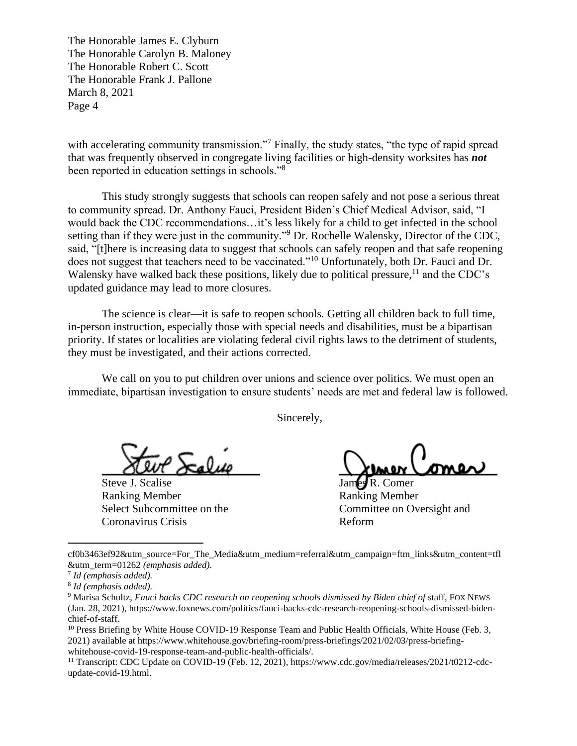with accelerating community transmission."<sup>7</sup> Finally, the study states, "the type of rapid spread that was frequently observed in congregate living facilities or high-density worksites has *not* been reported in education settings in schools."<sup>8</sup>

This study strongly suggests that schools can reopen safely and not pose a serious threat to community spread. Dr. Anthony Fauci, President Biden's Chief Medical Advisor, said, "I would back the CDC recommendations…it's less likely for a child to get infected in the school setting than if they were just in the community."<sup>9</sup> Dr. Rochelle Walensky, Director of the CDC, said, "[t]here is increasing data to suggest that schools can safely reopen and that safe reopening does not suggest that teachers need to be vaccinated."<sup>10</sup> Unfortunately, both Dr. Fauci and Dr. Walensky have walked back these positions, likely due to political pressure,  $11$  and the CDC's updated guidance may lead to more closures.

The science is clear—it is safe to reopen schools. Getting all children back to full time, in-person instruction, especially those with special needs and disabilities, must be a bipartisan priority. If states or localities are violating federal civil rights laws to the detriment of students, they must be investigated, and their actions corrected.

We call on you to put children over unions and science over politics. We must open an immediate, bipartisan investigation to ensure students' needs are met and federal law is followed.

Sincerely,

Steve J. Scalise James R. Comer Ranking Member Ranking Member Coronavirus Crisis Reform

auut Scalike Khner Comer

Select Subcommittee on the Committee on Oversight and

cf0b3463ef92&utm\_source=For\_The\_Media&utm\_medium=referral&utm\_campaign=ftm\_links&utm\_content=tfl &utm\_term=01262 *(emphasis added).* 

<sup>7</sup> *Id (emphasis added).* 

<sup>8</sup> *Id (emphasis added).* 

<sup>&</sup>lt;sup>9</sup> Marisa Schultz, *Fauci backs CDC research on reopening schools dismissed by Biden chief of staff, FOX NEWS* (Jan. 28, 2021), https://www.foxnews.com/politics/fauci-backs-cdc-research-reopening-schools-dismissed-bidenchief-of-staff.

<sup>&</sup>lt;sup>10</sup> Press Briefing by White House COVID-19 Response Team and Public Health Officials, White House (Feb. 3, 2021) available at https://www.whitehouse.gov/briefing-room/press-briefings/2021/02/03/press-briefingwhitehouse-covid-19-response-team-and-public-health-officials/.

<sup>&</sup>lt;sup>11</sup> Transcript: CDC Update on COVID-19 (Feb. 12, 2021), https://www.cdc.gov/media/releases/2021/t0212-cdcupdate-covid-19.html.